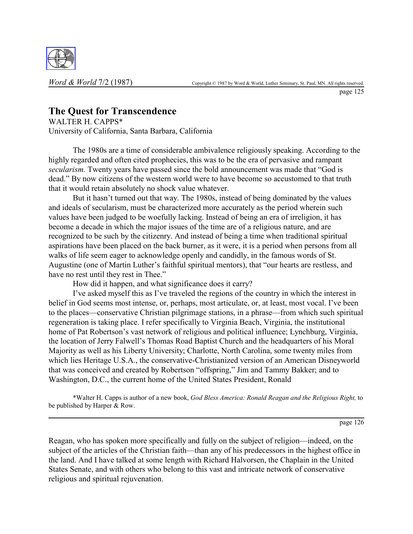

page 125

# **The Quest for Transcendence**

WALTER H. CAPPS\* University of California, Santa Barbara, California

The 1980s are a time of considerable ambivalence religiously speaking. According to the highly regarded and often cited prophecies, this was to be the era of pervasive and rampant *secularism*. Twenty years have passed since the bold announcement was made that "God is dead." By now citizens of the western world were to have become so accustomed to that truth that it would retain absolutely no shock value whatever.

But it hasn't turned out that way. The 1980s, instead of being dominated by the values and ideals of secularism, must be characterized more accurately as the period wherein such values have been judged to be woefully lacking. Instead of being an era of irreligion, it has become a decade in which the major issues of the time are of a religious nature, and are recognized to be such by the citizenry. And instead of being a time when traditional spiritual aspirations have been placed on the back burner, as it were, it is a period when persons from all walks of life seem eager to acknowledge openly and candidly, in the famous words of St. Augustine (one of Martin Luther's faithful spiritual mentors), that "our hearts are restless, and have no rest until they rest in Thee."

How did it happen, and what significance does it carry?

I've asked myself this as I've traveled the regions of the country in which the interest in belief in God seems most intense, or, perhaps, most articulate, or, at least, most vocal. I've been to the places—conservative Christian pilgrimage stations, in a phrase—from which such spiritual regeneration is taking place. I refer specifically to Virginia Beach, Virginia, the institutional home of Pat Robertson's vast network of religious and political influence; Lynchburg, Virginia, the location of Jerry Falwell's Thomas Road Baptist Church and the headquarters of his Moral Majority as well as his Liberty University; Charlotte, North Carolina, some twenty miles from which lies Heritage U.S.A., the conservative-Christianized version of an American Disneyworld that was conceived and created by Robertson "offspring," Jim and Tammy Bakker; and to Washington, D.C., the current home of the United States President, Ronald

\*Walter H. Capps is author of a new book, *God Bless America: Ronald Reagan and the Religious Right,* to be published by Harper & Row.

page 126

Reagan, who has spoken more specifically and fully on the subject of religion—indeed, on the subject of the articles of the Christian faith—than any of his predecessors in the highest office in the land. And I have talked at some length with Richard Halvorsen, the Chaplain in the United States Senate, and with others who belong to this vast and intricate network of conservative religious and spiritual rejuvenation.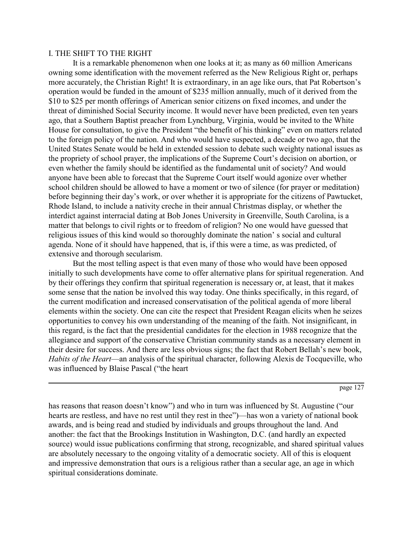### I. THE SHIFT TO THE RIGHT

It is a remarkable phenomenon when one looks at it; as many as 60 million Americans owning some identification with the movement referred as the New Religious Right or, perhaps more accurately, the Christian Right! It is extraordinary, in an age like ours, that Pat Robertson's operation would be funded in the amount of \$235 million annually, much of it derived from the \$10 to \$25 per month offerings of American senior citizens on fixed incomes, and under the threat of diminished Social Security income. It would never have been predicted, even ten years ago, that a Southern Baptist preacher from Lynchburg, Virginia, would be invited to the White House for consultation, to give the President "the benefit of his thinking" even on matters related to the foreign policy of the nation. And who would have suspected, a decade or two ago, that the United States Senate would be held in extended session to debate such weighty national issues as the propriety of school prayer, the implications of the Supreme Court's decision on abortion, or even whether the family should be identified as the fundamental unit of society? And would anyone have been able to forecast that the Supreme Court itself would agonize over whether school children should be allowed to have a moment or two of silence (for prayer or meditation) before beginning their day's work, or over whether it is appropriate for the citizens of Pawtucket, Rhode Island, to include a nativity creche in their annual Christmas display, or whether the interdict against interracial dating at Bob Jones University in Greenville, South Carolina, is a matter that belongs to civil rights or to freedom of religion? No one would have guessed that religious issues of this kind would so thoroughly dominate the nation's social and cultural agenda. None of it should have happened, that is, if this were a time, as was predicted, of extensive and thorough secularism.

But the most telling aspect is that even many of those who would have been opposed initially to such developments have come to offer alternative plans for spiritual regeneration. And by their offerings they confirm that spiritual regeneration is necessary or, at least, that it makes some sense that the nation be involved this way today. One thinks specifically, in this regard, of the current modification and increased conservatisation of the political agenda of more liberal elements within the society. One can cite the respect that President Reagan elicits when he seizes opportunities to convey his own understanding of the meaning of the faith. Not insignificant, in this regard, is the fact that the presidential candidates for the election in 1988 recognize that the allegiance and support of the conservative Christian community stands as a necessary element in their desire for success. And there are less obvious signs; the fact that Robert Bellah's new book, *Habits of the Heart*—an analysis of the spiritual character, following Alexis de Tocqueville, who was influenced by Blaise Pascal ("the heart"

page 127

has reasons that reason doesn't know") and who in turn was influenced by St. Augustine ("our hearts are restless, and have no rest until they rest in thee")—has won a variety of national book awards, and is being read and studied by individuals and groups throughout the land. And another: the fact that the Brookings Institution in Washington, D.C. (and hardly an expected source) would issue publications confirming that strong, recognizable, and shared spiritual values are absolutely necessary to the ongoing vitality of a democratic society. All of this is eloquent and impressive demonstration that ours is a religious rather than a secular age, an age in which spiritual considerations dominate.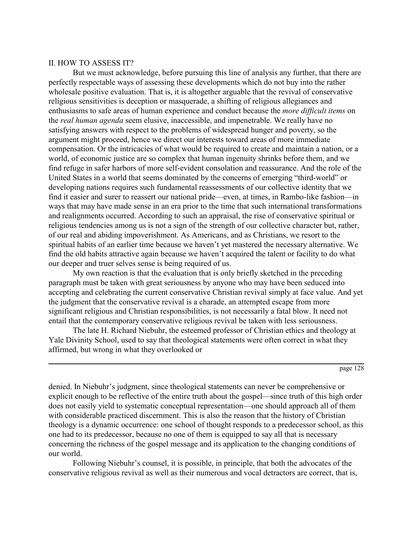## II. HOW TO ASSESS IT?

But we must acknowledge, before pursuing this line of analysis any further, that there are perfectly respectable ways of assessing these developments which do not buy into the rather wholesale positive evaluation. That is, it is altogether arguable that the revival of conservative religious sensitivities is deception or masquerade, a shifting of religious allegiances and enthusiasms to safe areas of human experience and conduct because the *more difficult items* on the *real human agenda* seem elusive, inaccessible, and impenetrable. We really have no satisfying answers with respect to the problems of widespread hunger and poverty, so the argument might proceed, hence we direct our interests toward areas of more immediate compensation. Or the intricacies of what would be required to create and maintain a nation, or a world, of economic justice are so complex that human ingenuity shrinks before them, and we find refuge in safer harbors of more self-evident consolation and reassurance. And the role of the United States in a world that seems dominated by the concerns of emerging "third-world" or developing nations requires such fundamental reassessments of our collective identity that we find it easier and surer to reassert our national pride—even, at times, in Rambo-like fashion—in ways that may have made sense in an era prior to the time that such international transformations and realignments occurred. According to such an appraisal, the rise of conservative spiritual or religious tendencies among us is not a sign of the strength of our collective character but, rather, of our real and abiding impoverishment. As Americans, and as Christians, we resort to the spiritual habits of an earlier time because we haven't yet mastered the necessary alternative. We find the old habits attractive again because we haven't acquired the talent or facility to do what our deeper and truer selves sense is being required of us.

My own reaction is that the evaluation that is only briefly sketched in the preceding paragraph must be taken with great seriousness by anyone who may have been seduced into accepting and celebrating the current conservative Christian revival simply at face value. And yet the judgment that the conservative revival is a charade, an attempted escape from more significant religious and Christian responsibilities, is not necessarily a fatal blow. It need not entail that the contemporary conservative religious revival be taken with less seriousness.

The late H. Richard Niebuhr, the esteemed professor of Christian ethics and theology at Yale Divinity School, used to say that theological statements were often correct in what they affirmed, but wrong in what they overlooked or

page 128

denied. In Niebuhr's judgment, since theological statements can never be comprehensive or explicit enough to be reflective of the entire truth about the gospel—since truth of this high order does not easily yield to systematic conceptual representation—one should approach all of them with considerable practiced discernment. This is also the reason that the history of Christian theology is a dynamic occurrence: one school of thought responds to a predecessor school, as this one had to its predecessor, because no one of them is equipped to say all that is necessary concerning the richness of the gospel message and its application to the changing conditions of our world.

Following Niebuhr's counsel, it is possible, in principle, that both the advocates of the conservative religious revival as well as their numerous and vocal detractors are correct, that is,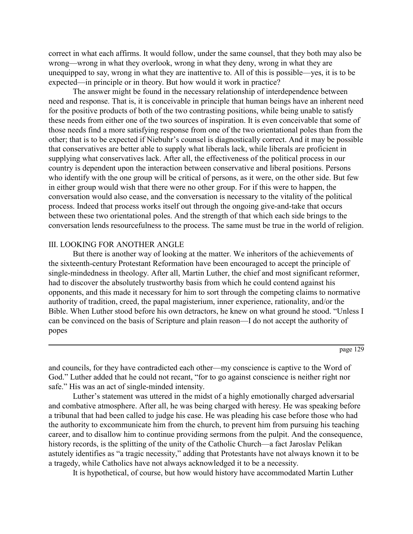correct in what each affirms. It would follow, under the same counsel, that they both may also be wrong—wrong in what they overlook, wrong in what they deny, wrong in what they are unequipped to say, wrong in what they are inattentive to. All of this is possible—yes, it is to be expected—in principle or in theory. But how would it work in practice?

The answer might be found in the necessary relationship of interdependence between need and response. That is, it is conceivable in principle that human beings have an inherent need for the positive products of both of the two contrasting positions, while being unable to satisfy these needs from either one of the two sources of inspiration. It is even conceivable that some of those needs find a more satisfying response from one of the two orientational poles than from the other; that is to be expected if Niebuhr's counsel is diagnostically correct. And it may be possible that conservatives are better able to supply what liberals lack, while liberals are proficient in supplying what conservatives lack. After all, the effectiveness of the political process in our country is dependent upon the interaction between conservative and liberal positions. Persons who identify with the one group will be critical of persons, as it were, on the other side. But few in either group would wish that there were no other group. For if this were to happen, the conversation would also cease, and the conversation is necessary to the vitality of the political process. Indeed that process works itself out through the ongoing give-and-take that occurs between these two orientational poles. And the strength of that which each side brings to the conversation lends resourcefulness to the process. The same must be true in the world of religion.

# III. LOOKING FOR ANOTHER ANGLE

But there is another way of looking at the matter. We inheritors of the achievements of the sixteenth-century Protestant Reformation have been encouraged to accept the principle of single-mindedness in theology. After all, Martin Luther, the chief and most significant reformer, had to discover the absolutely trustworthy basis from which he could contend against his opponents, and this made it necessary for him to sort through the competing claims to normative authority of tradition, creed, the papal magisterium, inner experience, rationality, and/or the Bible. When Luther stood before his own detractors, he knew on what ground he stood. "Unless I can be convinced on the basis of Scripture and plain reason—I do not accept the authority of popes

page 129

and councils, for they have contradicted each other—my conscience is captive to the Word of God." Luther added that he could not recant, "for to go against conscience is neither right nor safe." His was an act of single-minded intensity.

Luther's statement was uttered in the midst of a highly emotionally charged adversarial and combative atmosphere. After all, he was being charged with heresy. He was speaking before a tribunal that had been called to judge his case. He was pleading his case before those who had the authority to excommunicate him from the church, to prevent him from pursuing his teaching career, and to disallow him to continue providing sermons from the pulpit. And the consequence, history records, is the splitting of the unity of the Catholic Church—a fact Jaroslav Pelikan astutely identifies as "a tragic necessity," adding that Protestants have not always known it to be a tragedy, while Catholics have not always acknowledged it to be a necessity.

It is hypothetical, of course, but how would history have accommodated Martin Luther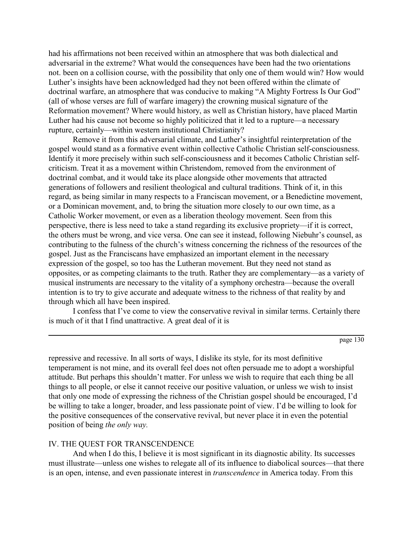had his affirmations not been received within an atmosphere that was both dialectical and adversarial in the extreme? What would the consequences have been had the two orientations not. been on a collision course, with the possibility that only one of them would win? How would Luther's insights have been acknowledged had they not been offered within the climate of doctrinal warfare, an atmosphere that was conducive to making "A Mighty Fortress Is Our God" (all of whose verses are full of warfare imagery) the crowning musical signature of the Reformation movement? Where would history, as well as Christian history, have placed Martin Luther had his cause not become so highly politicized that it led to a rupture—a necessary rupture, certainly—within western institutional Christianity?

Remove it from this adversarial climate, and Luther's insightful reinterpretation of the gospel would stand as a formative event within collective Catholic Christian self-consciousness. Identify it more precisely within such self-consciousness and it becomes Catholic Christian selfcriticism. Treat it as a movement within Christendom, removed from the environment of doctrinal combat, and it would take its place alongside other movements that attracted generations of followers and resilient theological and cultural traditions. Think of it, in this regard, as being similar in many respects to a Franciscan movement, or a Benedictine movement, or a Dominican movement, and, to bring the situation more closely to our own time, as a Catholic Worker movement, or even as a liberation theology movement. Seen from this perspective, there is less need to take a stand regarding its exclusive propriety—if it is correct, the others must be wrong, and vice versa. One can see it instead, following Niebuhr's counsel, as contributing to the fulness of the church's witness concerning the richness of the resources of the gospel. Just as the Franciscans have emphasized an important element in the necessary expression of the gospel, so too has the Lutheran movement. But they need not stand as opposites, or as competing claimants to the truth. Rather they are complementary—as a variety of musical instruments are necessary to the vitality of a symphony orchestra—because the overall intention is to try to give accurate and adequate witness to the richness of that reality by and through which all have been inspired.

I confess that I've come to view the conservative revival in similar terms. Certainly there is much of it that I find unattractive. A great deal of it is

page 130

repressive and recessive. In all sorts of ways, I dislike its style, for its most definitive temperament is not mine, and its overall feel does not often persuade me to adopt a worshipful attitude. But perhaps this shouldn't matter. For unless we wish to require that each thing be all things to all people, or else it cannot receive our positive valuation, or unless we wish to insist that only one mode of expressing the richness of the Christian gospel should be encouraged, I'd be willing to take a longer, broader, and less passionate point of view. I'd be willing to look for the positive consequences of the conservative revival, but never place it in even the potential position of being *the only way.*

### IV. THE QUEST FOR TRANSCENDENCE

And when I do this, I believe it is most significant in its diagnostic ability. Its successes must illustrate—unless one wishes to relegate all of its influence to diabolical sources—that there is an open, intense, and even passionate interest in *transcendence* in America today. From this